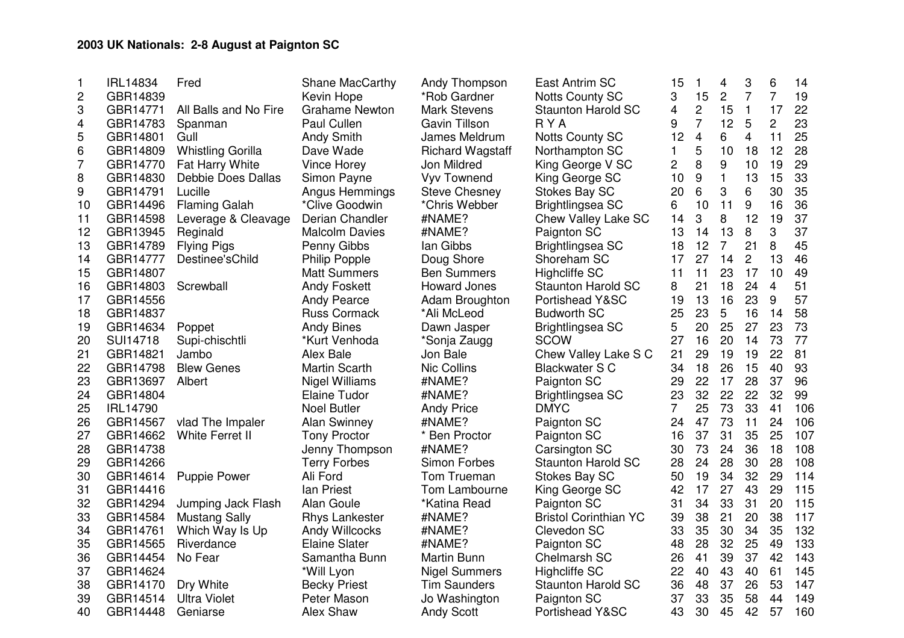## **2003 UK Nationals: 2-8 August at Paignton SC**

| $\mathbf{1}$ | <b>IRL14834</b> | Fred                     | Shane MacCarthy       | Andy Thompson           | East Antrim SC               | 15 | $\mathbf{1}$   | 4              | 3              | 6              | 14  |
|--------------|-----------------|--------------------------|-----------------------|-------------------------|------------------------------|----|----------------|----------------|----------------|----------------|-----|
| 2            | GBR14839        |                          | Kevin Hope            | *Rob Gardner            | <b>Notts County SC</b>       | 3  | 15             | $\overline{c}$ | $\overline{7}$ | $\overline{7}$ | 19  |
| 3            | GBR14771        | All Balls and No Fire    | <b>Grahame Newton</b> | <b>Mark Stevens</b>     | <b>Staunton Harold SC</b>    | 4  | $\overline{2}$ | 15             | $\mathbf{1}$   | 17             | 22  |
| 4            | GBR14783        | Spanman                  | Paul Cullen           | Gavin Tillson           | <b>RYA</b>                   | 9  | $\overline{7}$ | 12             | 5              | $\overline{2}$ | 23  |
| 5            | GBR14801        | Gull                     | <b>Andy Smith</b>     | James Meldrum           | <b>Notts County SC</b>       | 12 | $\overline{4}$ | 6              | $\overline{4}$ | 11             | 25  |
| 6            | GBR14809        | <b>Whistling Gorilla</b> | Dave Wade             | <b>Richard Wagstaff</b> | Northampton SC               | 1  | 5              | 10             | 18             | 12             | 28  |
| 7            | GBR14770        | Fat Harry White          | Vince Horey           | Jon Mildred             | King George V SC             | 2  | 8              | 9              | 10             | 19             | 29  |
| 8            | GBR14830        | Debbie Does Dallas       | Simon Payne           | <b>Vyv Townend</b>      | King George SC               | 10 | 9              | $\mathbf{1}$   | 13             | 15             | 33  |
| 9            | GBR14791        | Lucille                  | <b>Angus Hemmings</b> | <b>Steve Chesney</b>    | <b>Stokes Bay SC</b>         | 20 | 6              | 3              | 6              | 30             | 35  |
| 10           | GBR14496        | <b>Flaming Galah</b>     | *Clive Goodwin        | *Chris Webber           | <b>Brightlingsea SC</b>      | 6  | 10             | 11             | 9              | 16             | 36  |
| 11           | GBR14598        | Leverage & Cleavage      | Derian Chandler       | #NAME?                  | Chew Valley Lake SC          | 14 | 3              | 8              | 12             | 19             | 37  |
| 12           | GBR13945        | Reginald                 | <b>Malcolm Davies</b> | #NAME?                  | Paignton SC                  | 13 | 14             | 13             | 8              | 3              | 37  |
| 13           | GBR14789        | <b>Flying Pigs</b>       | Penny Gibbs           | lan Gibbs               | Brightlingsea SC             | 18 | 12             | $\overline{7}$ | 21             | 8              | 45  |
| 14           | GBR14777        | Destinee'sChild          | Philip Popple         | Doug Shore              | Shoreham SC                  | 17 | 27             | 14             | $\overline{2}$ | 13             | 46  |
| 15           | GBR14807        |                          | <b>Matt Summers</b>   | <b>Ben Summers</b>      | <b>Highcliffe SC</b>         | 11 | 11             | 23             | 17             | 10             | 49  |
| 16           | GBR14803        | Screwball                | <b>Andy Foskett</b>   | <b>Howard Jones</b>     | <b>Staunton Harold SC</b>    | 8  | 21             | 18             | 24             | $\overline{4}$ | 51  |
| 17           | GBR14556        |                          | <b>Andy Pearce</b>    | Adam Broughton          | Portishead Y&SC              | 19 | 13             | 16             | 23             | 9              | 57  |
| 18           | GBR14837        |                          | <b>Russ Cormack</b>   | *Ali McLeod             | <b>Budworth SC</b>           | 25 | 23             | 5              | 16             | 14             | 58  |
| 19           | GBR14634        | Poppet                   | <b>Andy Bines</b>     | Dawn Jasper             | Brightlingsea SC             | 5  | 20             | 25             | 27             | 23             | 73  |
| 20           | <b>SUI14718</b> | Supi-chischtli           | *Kurt Venhoda         | *Sonja Zaugg            | <b>SCOW</b>                  | 27 | 16             | 20             | 14             | 73             | 77  |
| 21           | GBR14821        | Jambo                    | Alex Bale             | Jon Bale                | Chew Valley Lake S C         | 21 | 29             | 19             | 19             | 22             | 81  |
| 22           | GBR14798        | <b>Blew Genes</b>        | <b>Martin Scarth</b>  | <b>Nic Collins</b>      | <b>Blackwater S C</b>        | 34 | 18             | 26             | 15             | 40             | 93  |
| 23           | GBR13697        | Albert                   | <b>Nigel Williams</b> | #NAME?                  | Paignton SC                  | 29 | 22             | 17             | 28             | 37             | 96  |
| 24           | GBR14804        |                          | <b>Elaine Tudor</b>   | #NAME?                  | Brightlingsea SC             | 23 | 32             | 22             | 22             | 32             | 99  |
| 25           | <b>IRL14790</b> |                          | <b>Noel Butler</b>    | <b>Andy Price</b>       | <b>DMYC</b>                  | 7  | 25             | 73             | 33             | 41             | 106 |
| 26           | GBR14567        | vlad The Impaler         | <b>Alan Swinney</b>   | #NAME?                  | Paignton SC                  | 24 | 47             | 73             | 11             | 24             | 106 |
| 27           | GBR14662        | White Ferret II          | <b>Tony Proctor</b>   | * Ben Proctor           | Paignton SC                  | 16 | 37             | 31             | 35             | 25             | 107 |
| 28           | GBR14738        |                          | Jenny Thompson        | #NAME?                  | Carsington SC                | 30 | 73             | 24             | 36             | 18             | 108 |
| 29           | GBR14266        |                          | <b>Terry Forbes</b>   | Simon Forbes            | <b>Staunton Harold SC</b>    | 28 | 24             | 28             | 30             | 28             | 108 |
| 30           | GBR14614        | <b>Puppie Power</b>      | Ali Ford              | Tom Trueman             | Stokes Bay SC                | 50 | 19             | 34             | 32             | 29             | 114 |
| 31           | GBR14416        |                          | Ian Priest            | Tom Lambourne           | King George SC               | 42 | 17             | 27             | 43             | 29             | 115 |
| 32           | GBR14294        | Jumping Jack Flash       | Alan Goule            | *Katina Read            | Paignton SC                  | 31 | 34             | 33             | 31             | 20             | 115 |
| 33           | GBR14584        | <b>Mustang Sally</b>     | <b>Rhys Lankester</b> | #NAME?                  | <b>Bristol Corinthian YC</b> | 39 | 38             | 21             | 20             | 38             | 117 |
| 34           | GBR14761        | Which Way Is Up          | Andy Willcocks        | #NAME?                  | Clevedon SC                  | 33 | 35             | 30             | 34             | 35             | 132 |
| 35           | GBR14565        | Riverdance               | <b>Elaine Slater</b>  | #NAME?                  | Paignton SC                  | 48 | 28             | 32             | 25             | 49             | 133 |
| 36           | GBR14454        | No Fear                  | Samantha Bunn         | Martin Bunn             | Chelmarsh SC                 | 26 | 41             | 39             | 37             | 42             | 143 |
| 37           | GBR14624        |                          | *Will Lyon            | <b>Nigel Summers</b>    | <b>Highcliffe SC</b>         | 22 | 40             | 43             | 40             | 61             | 145 |
| 38           | GBR14170        | Dry White                | <b>Becky Priest</b>   | <b>Tim Saunders</b>     | <b>Staunton Harold SC</b>    | 36 | 48             | 37             | 26             | 53             | 147 |
| 39           | GBR14514        | <b>Ultra Violet</b>      | Peter Mason           | Jo Washington           | Paignton SC                  | 37 | 33             | 35             | 58             | 44             | 149 |
| 40           | GBR14448        | Geniarse                 | Alex Shaw             | <b>Andy Scott</b>       | Portishead Y&SC              | 43 | 30             | 45             | 42             | 57             | 160 |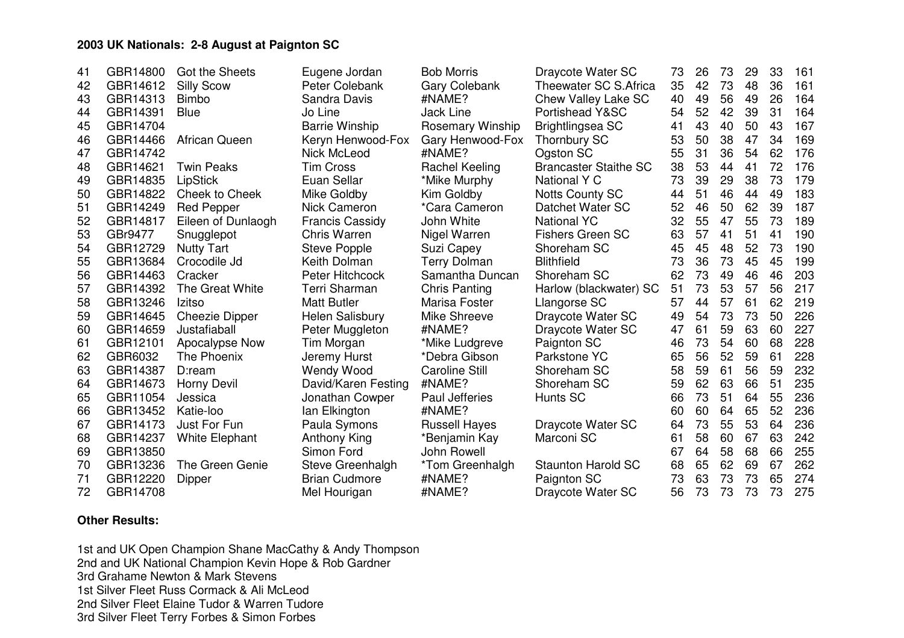## **2003 UK Nationals: 2-8 August at Paignton SC**

| 41 | GBR14800 | Got the Sheets        | Eugene Jordan          | <b>Bob Morris</b>     | Draycote Water SC            | 73 | 26 | 73 | 29 | 33 | 161 |
|----|----------|-----------------------|------------------------|-----------------------|------------------------------|----|----|----|----|----|-----|
| 42 | GBR14612 | <b>Silly Scow</b>     | Peter Colebank         | <b>Gary Colebank</b>  | Theewater SC S.Africa        | 35 | 42 | 73 | 48 | 36 | 161 |
| 43 | GBR14313 | <b>Bimbo</b>          | Sandra Davis           | #NAME?                | Chew Valley Lake SC          | 40 | 49 | 56 | 49 | 26 | 164 |
| 44 | GBR14391 | <b>Blue</b>           | Jo Line                | <b>Jack Line</b>      | Portishead Y&SC              | 54 | 52 | 42 | 39 | 31 | 164 |
| 45 | GBR14704 |                       | <b>Barrie Winship</b>  | Rosemary Winship      | Brightlingsea SC             | 41 | 43 | 40 | 50 | 43 | 167 |
| 46 | GBR14466 | <b>African Queen</b>  | Keryn Henwood-Fox      | Gary Henwood-Fox      | <b>Thornbury SC</b>          | 53 | 50 | 38 | 47 | 34 | 169 |
| 47 | GBR14742 |                       | <b>Nick McLeod</b>     | #NAME?                | Ogston SC                    | 55 | 31 | 36 | 54 | 62 | 176 |
| 48 | GBR14621 | <b>Twin Peaks</b>     | <b>Tim Cross</b>       | Rachel Keeling        | <b>Brancaster Staithe SC</b> | 38 | 53 | 44 | 41 | 72 | 176 |
| 49 | GBR14835 | LipStick              | Euan Sellar            | *Mike Murphy          | National Y C                 | 73 | 39 | 29 | 38 | 73 | 179 |
| 50 | GBR14822 | Cheek to Cheek        | Mike Goldby            | Kim Goldby            | <b>Notts County SC</b>       | 44 | 51 | 46 | 44 | 49 | 183 |
| 51 | GBR14249 | <b>Red Pepper</b>     | Nick Cameron           | *Cara Cameron         | Datchet Water SC             | 52 | 46 | 50 | 62 | 39 | 187 |
| 52 | GBR14817 | Eileen of Dunlaogh    | <b>Francis Cassidy</b> | John White            | <b>National YC</b>           | 32 | 55 | 47 | 55 | 73 | 189 |
| 53 | GBr9477  | Snugglepot            | <b>Chris Warren</b>    | Nigel Warren          | <b>Fishers Green SC</b>      | 63 | 57 | 41 | 51 | 41 | 190 |
| 54 | GBR12729 | <b>Nutty Tart</b>     | <b>Steve Popple</b>    | Suzi Capey            | Shoreham SC                  | 45 | 45 | 48 | 52 | 73 | 190 |
| 55 | GBR13684 | Crocodile Jd          | Keith Dolman           | <b>Terry Dolman</b>   | <b>Blithfield</b>            | 73 | 36 | 73 | 45 | 45 | 199 |
| 56 | GBR14463 | Cracker               | Peter Hitchcock        | Samantha Duncan       | Shoreham SC                  | 62 | 73 | 49 | 46 | 46 | 203 |
| 57 | GBR14392 | The Great White       | Terri Sharman          | <b>Chris Panting</b>  | Harlow (blackwater) SC       | 51 | 73 | 53 | 57 | 56 | 217 |
| 58 | GBR13246 | Izitso                | <b>Matt Butler</b>     | Marisa Foster         | Llangorse SC                 | 57 | 44 | 57 | 61 | 62 | 219 |
| 59 | GBR14645 | <b>Cheezie Dipper</b> | Helen Salisbury        | Mike Shreeve          | Draycote Water SC            | 49 | 54 | 73 | 73 | 50 | 226 |
| 60 | GBR14659 | Justafiaball          | Peter Muggleton        | #NAME?                | Draycote Water SC            | 47 | 61 | 59 | 63 | 60 | 227 |
| 61 | GBR12101 | Apocalypse Now        | Tim Morgan             | *Mike Ludgreve        | Paignton SC                  | 46 | 73 | 54 | 60 | 68 | 228 |
| 62 | GBR6032  | The Phoenix           | Jeremy Hurst           | *Debra Gibson         | Parkstone YC                 | 65 | 56 | 52 | 59 | 61 | 228 |
| 63 | GBR14387 | D:ream                | <b>Wendy Wood</b>      | <b>Caroline Still</b> | Shoreham SC                  | 58 | 59 | 61 | 56 | 59 | 232 |
| 64 | GBR14673 | Horny Devil           | David/Karen Festing    | #NAME?                | Shoreham SC                  | 59 | 62 | 63 | 66 | 51 | 235 |
| 65 | GBR11054 | Jessica               | Jonathan Cowper        | Paul Jefferies        | Hunts SC                     | 66 | 73 | 51 | 64 | 55 | 236 |
| 66 | GBR13452 | Katie-loo             | lan Elkington          | #NAME?                |                              | 60 | 60 | 64 | 65 | 52 | 236 |
| 67 | GBR14173 | Just For Fun          | Paula Symons           | <b>Russell Hayes</b>  | Draycote Water SC            | 64 | 73 | 55 | 53 | 64 | 236 |
| 68 | GBR14237 | <b>White Elephant</b> | Anthony King           | *Benjamin Kay         | Marconi SC                   | 61 | 58 | 60 | 67 | 63 | 242 |
| 69 | GBR13850 |                       | Simon Ford             | John Rowell           |                              | 67 | 64 | 58 | 68 | 66 | 255 |
| 70 | GBR13236 | The Green Genie       | Steve Greenhalgh       | *Tom Greenhalgh       | <b>Staunton Harold SC</b>    | 68 | 65 | 62 | 69 | 67 | 262 |
| 71 | GBR12220 | Dipper                | <b>Brian Cudmore</b>   | #NAME?                | Paignton SC                  | 73 | 63 | 73 | 73 | 65 | 274 |
| 72 | GBR14708 |                       | Mel Hourigan           | #NAME?                | Draycote Water SC            | 56 | 73 | 73 | 73 | 73 | 275 |

## **Other Results:**

1st and UK Open Champion Shane MacCathy & Andy Thompson 2nd and UK National Champion Kevin Hope & Rob Gardner 3rd Grahame Newton & Mark Stevens 1st Silver Fleet Russ Cormack & Ali McLeod 2nd Silver Fleet Elaine Tudor & Warren Tudore 3rd Silver Fleet Terry Forbes & Simon Forbes